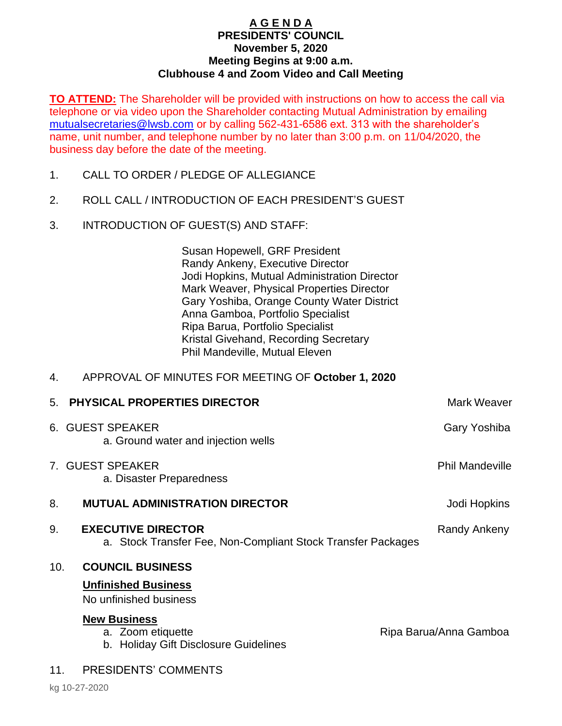## **A G E N D A PRESIDENTS' COUNCIL November 5, 2020 Meeting Begins at 9:00 a.m. Clubhouse 4 and Zoom Video and Call Meeting**

**TO ATTEND:** The Shareholder will be provided with instructions on how to access the call via telephone or via video upon the Shareholder contacting Mutual Administration by emailing [mutualsecretaries@lwsb.com](mailto:mutualsecretaries@lwsb.com) or by calling 562-431-6586 ext. 313 with the shareholder's name, unit number, and telephone number by no later than 3:00 p.m. on 11/04/2020, the business day before the date of the meeting.

- 1. CALL TO ORDER / PLEDGE OF ALLEGIANCE
- 2. ROLL CALL / INTRODUCTION OF EACH PRESIDENT'S GUEST
- 3. INTRODUCTION OF GUEST(S) AND STAFF:

Susan Hopewell, GRF President Randy Ankeny, Executive Director Jodi Hopkins, Mutual Administration Director Mark Weaver, Physical Properties Director Gary Yoshiba, Orange County Water District Anna Gamboa, Portfolio Specialist Ripa Barua, Portfolio Specialist Kristal Givehand, Recording Secretary Phil Mandeville, Mutual Eleven

## 4. APPROVAL OF MINUTES FOR MEETING OF **October 1, 2020**

|     | 5. PHYSICAL PROPERTIES DIRECTOR                                                           | <b>Mark Weaver</b>     |
|-----|-------------------------------------------------------------------------------------------|------------------------|
|     | 6. GUEST SPEAKER<br>a. Ground water and injection wells                                   | Gary Yoshiba           |
|     | 7. GUEST SPEAKER<br>a. Disaster Preparedness                                              | <b>Phil Mandeville</b> |
| 8.  | <b>MUTUAL ADMINISTRATION DIRECTOR</b>                                                     | Jodi Hopkins           |
| 9.  | <b>EXECUTIVE DIRECTOR</b><br>a. Stock Transfer Fee, Non-Compliant Stock Transfer Packages | Randy Ankeny           |
| 10. | <b>COUNCIL BUSINESS</b><br><b>Unfinished Business</b><br>No unfinished business           |                        |
|     | <b>New Business</b><br>a. Zoom etiquette<br>b. Holiday Gift Disclosure Guidelines         | Ripa Barua/Anna Gamboa |
| 11. | <b>PRESIDENTS' COMMENTS</b>                                                               |                        |
|     | 1.10.07000                                                                                |                        |